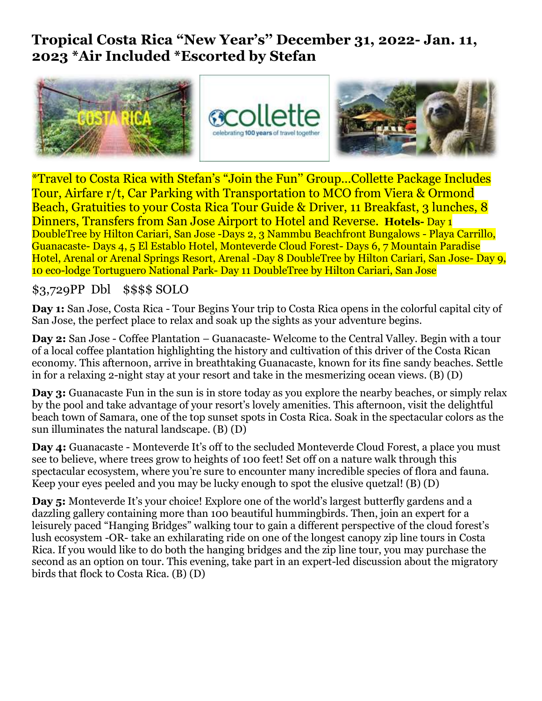## **Tropical Costa Rica "New Year's'' December 31, 2022- Jan. 11, 2023 \*Air Included \*Escorted by Stefan**



\*Travel to Costa Rica with Stefan's "Join the Fun'' Group…Collette Package Includes Tour, Airfare r/t, Car Parking with Transportation to MCO from Viera & Ormond Beach, Gratuities to your Costa Rica Tour Guide & Driver, 11 Breakfast, 3 lunches, 8 Dinners, Transfers from San Jose Airport to Hotel and Reverse. **Hotels-** Day 1 DoubleTree by Hilton Cariari, San Jose -Days 2, 3 Nammbu Beachfront Bungalows - Playa Carrillo, Guanacaste- Days 4, 5 El Establo Hotel, Monteverde Cloud Forest- Days 6, 7 Mountain Paradise Hotel, Arenal or Arenal Springs Resort, Arenal -Day 8 DoubleTree by Hilton Cariari, San Jose- Day 9, 10 eco-lodge Tortuguero National Park- Day 11 DoubleTree by Hilton Cariari, San Jose

## \$3,729PP Dbl \$\$\$\$ SOLO

**Day 1:** San Jose, Costa Rica - Tour Begins Your trip to Costa Rica opens in the colorful capital city of San Jose, the perfect place to relax and soak up the sights as your adventure begins.

**Day 2:** San Jose - Coffee Plantation – Guanacaste- Welcome to the Central Valley. Begin with a tour of a local coffee plantation highlighting the history and cultivation of this driver of the Costa Rican economy. This afternoon, arrive in breathtaking Guanacaste, known for its fine sandy beaches. Settle in for a relaxing 2-night stay at your resort and take in the mesmerizing ocean views. (B) (D)

**Day 3:** Guanacaste Fun in the sun is in store today as you explore the nearby beaches, or simply relax by the pool and take advantage of your resort's lovely amenities. This afternoon, visit the delightful beach town of Samara, one of the top sunset spots in Costa Rica. Soak in the spectacular colors as the sun illuminates the natural landscape. (B) (D)

**Day 4:** Guanacaste - Monteverde It's off to the secluded Monteverde Cloud Forest, a place you must see to believe, where trees grow to heights of 100 feet! Set off on a nature walk through this spectacular ecosystem, where you're sure to encounter many incredible species of flora and fauna. Keep your eyes peeled and you may be lucky enough to spot the elusive quetzal! (B) (D)

**Day 5:** Monteverde It's your choice! Explore one of the world's largest butterfly gardens and a dazzling gallery containing more than 100 beautiful hummingbirds. Then, join an expert for a leisurely paced "Hanging Bridges" walking tour to gain a different perspective of the cloud forest's lush ecosystem -OR- take an exhilarating ride on one of the longest canopy zip line tours in Costa Rica. If you would like to do both the hanging bridges and the zip line tour, you may purchase the second as an option on tour. This evening, take part in an expert-led discussion about the migratory birds that flock to Costa Rica. (B) (D)